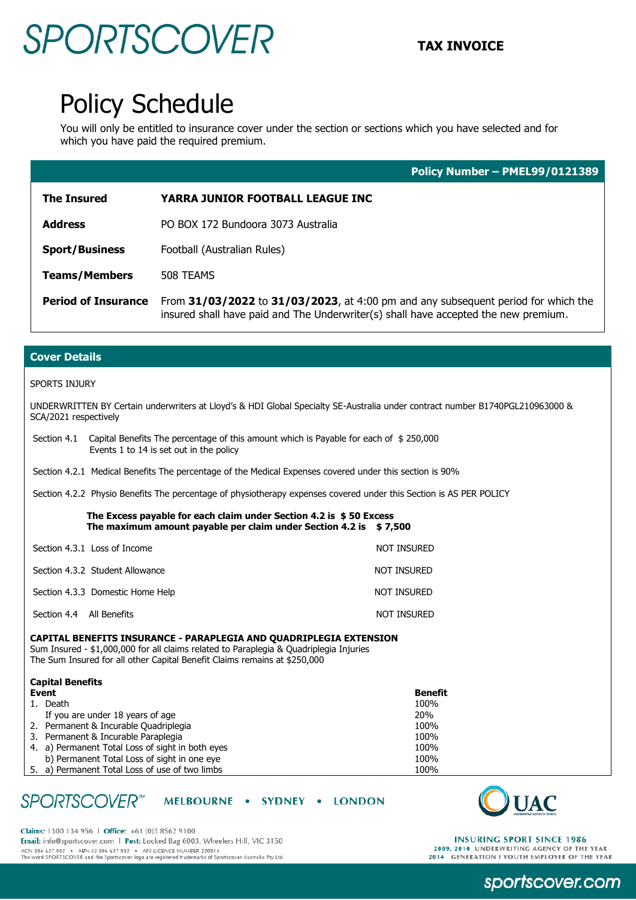## SPORTSCOVER TAX INVOICE

## Policy Schedule

You will only be entitled to insurance cover under the section or sections which you have selected and for which you have paid the required premium.

|                            | Policy Number - PMEL99/0121389                                                                                                                                                        |  |
|----------------------------|---------------------------------------------------------------------------------------------------------------------------------------------------------------------------------------|--|
| <b>The Insured</b>         | YARRA JUNIOR FOOTBALL LEAGUE INC                                                                                                                                                      |  |
| <b>Address</b>             | PO BOX 172 Bundoora 3073 Australia                                                                                                                                                    |  |
| <b>Sport/Business</b>      | Football (Australian Rules)                                                                                                                                                           |  |
| <b>Teams/Members</b>       | 508 TEAMS<br>From 31/03/2022 to 31/03/2023, at 4:00 pm and any subsequent period for which the<br>insured shall have paid and The Underwriter(s) shall have accepted the new premium. |  |
| <b>Period of Insurance</b> |                                                                                                                                                                                       |  |

### **Cover Details**

#### SPORTS INJURY

UNDERWRITTEN BY Certain underwriters at Lloyd's & HDI Global Specialty SE-Australia under contract number B1740PGL210963000 & SCA/2021 respectively

Section 4.1 Capital Benefits The percentage of this amount which is Payable for each of \$ 250,000 Events 1 to 14 is set out in the policy

Section 4.2.1 Medical Benefits The percentage of the Medical Expenses covered under this section is 90%

Section 4.2.2 Physio Benefits The percentage of physiotherapy expenses covered under this Section is AS PER POLICY

 **The Excess payable for each claim under Section 4.2 is \$ 50 Excess The maximum amount payable per claim under Section 4.2 is \$ 7,500**

| Section 4.3.1 Loss of Income     | NOT INSURED |
|----------------------------------|-------------|
| Section 4.3.2 Student Allowance  | NOT INSURED |
| Section 4.3.3 Domestic Home Help | NOT INSURED |
| Section 4.4 All Benefits         | NOT INSURED |

#### **CAPITAL BENEFITS INSURANCE - PARAPLEGIA AND QUADRIPLEGIA EXTENSION**

Sum Insured - \$1,000,000 for all claims related to Paraplegia & Quadriplegia Injuries The Sum Insured for all other Capital Benefit Claims remains at \$250,000

### **Capital Benefits**

| Event |                                                  | <b>Benefit</b> |
|-------|--------------------------------------------------|----------------|
|       | 1. Death                                         | 100%           |
|       | If you are under 18 years of age                 | <b>20%</b>     |
|       | 2. Permanent & Incurable Quadriplegia            | 100%           |
|       | 3. Permanent & Incurable Paraplegia              | 100%           |
|       | 4. a) Permanent Total Loss of sight in both eyes | 100%           |
|       | b) Permanent Total Loss of sight in one eye      | 100%           |
|       | 5. a) Permanent Total Loss of use of two limbs   | 100%           |

#### **SPORTSCOVER**<sup>™</sup> MELBOURNE . SYDNEY . LONDON





**INSURING SPORT SINCE 1986** 2009, 2010 UNDERWRITING AGENCY OF THE YEAR<br>2014 GENERATION I YOUTH EMPLOYER OF THE YEAR

## sportscover.com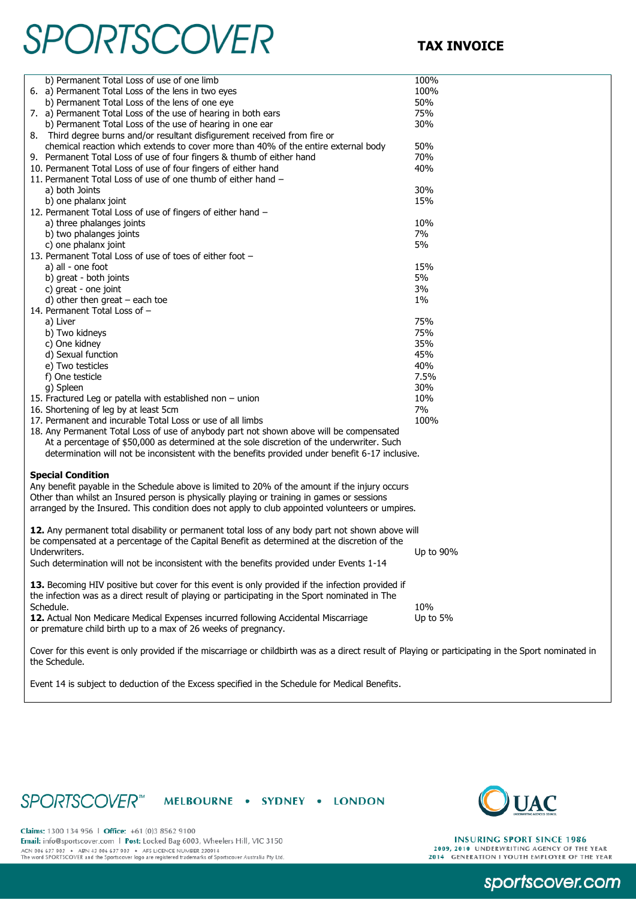# **SPORTSCOVER** TAX INVOICE

| b) Permanent Total Loss of use of one limb                                                                                                          | 100%      |
|-----------------------------------------------------------------------------------------------------------------------------------------------------|-----------|
| 6. a) Permanent Total Loss of the lens in two eyes                                                                                                  | 100%      |
| b) Permanent Total Loss of the lens of one eye                                                                                                      | 50%       |
| 7. a) Permanent Total Loss of the use of hearing in both ears                                                                                       | 75%       |
| b) Permanent Total Loss of the use of hearing in one ear                                                                                            | 30%       |
| 8. Third degree burns and/or resultant disfigurement received from fire or                                                                          |           |
| chemical reaction which extends to cover more than 40% of the entire external body                                                                  | 50%       |
| 9. Permanent Total Loss of use of four fingers & thumb of either hand                                                                               | 70%       |
| 10. Permanent Total Loss of use of four fingers of either hand                                                                                      | 40%       |
| 11. Permanent Total Loss of use of one thumb of either hand -                                                                                       |           |
| a) both Joints                                                                                                                                      | 30%       |
| b) one phalanx joint                                                                                                                                | 15%       |
| 12. Permanent Total Loss of use of fingers of either hand -                                                                                         |           |
| a) three phalanges joints                                                                                                                           | 10%       |
| b) two phalanges joints                                                                                                                             | 7%        |
|                                                                                                                                                     | 5%        |
| c) one phalanx joint<br>13. Permanent Total Loss of use of toes of either foot -                                                                    |           |
| a) all - one foot                                                                                                                                   | 15%       |
| b) great - both joints                                                                                                                              | 5%        |
|                                                                                                                                                     | 3%        |
| c) great - one joint                                                                                                                                |           |
| d) other then great $-$ each toe                                                                                                                    | $1\%$     |
| 14. Permanent Total Loss of -                                                                                                                       |           |
| a) Liver                                                                                                                                            | 75%       |
| b) Two kidneys                                                                                                                                      | 75%       |
| c) One kidney                                                                                                                                       | 35%       |
| d) Sexual function                                                                                                                                  | 45%       |
| e) Two testicles                                                                                                                                    | 40%       |
| f) One testicle                                                                                                                                     | 7.5%      |
| g) Spleen                                                                                                                                           | 30%       |
| 15. Fractured Leg or patella with established non - union                                                                                           | 10%       |
| 16. Shortening of leg by at least 5cm                                                                                                               | 7%        |
| 17. Permanent and incurable Total Loss or use of all limbs                                                                                          | 100%      |
| 18. Any Permanent Total Loss of use of anybody part not shown above will be compensated                                                             |           |
| At a percentage of \$50,000 as determined at the sole discretion of the underwriter. Such                                                           |           |
| determination will not be inconsistent with the benefits provided under benefit 6-17 inclusive.                                                     |           |
|                                                                                                                                                     |           |
| <b>Special Condition</b>                                                                                                                            |           |
| Any benefit payable in the Schedule above is limited to 20% of the amount if the injury occurs                                                      |           |
| Other than whilst an Insured person is physically playing or training in games or sessions                                                          |           |
| arranged by the Insured. This condition does not apply to club appointed volunteers or umpires.                                                     |           |
|                                                                                                                                                     |           |
| 12. Any permanent total disability or permanent total loss of any body part not shown above will                                                    |           |
| be compensated at a percentage of the Capital Benefit as determined at the discretion of the                                                        |           |
| Underwriters.                                                                                                                                       | Up to 90% |
| Such determination will not be inconsistent with the benefits provided under Events 1-14                                                            |           |
|                                                                                                                                                     |           |
| 13. Becoming HIV positive but cover for this event is only provided if the infection provided if                                                    |           |
| the infection was as a direct result of playing or participating in the Sport nominated in The                                                      |           |
| Schedule.                                                                                                                                           | 10%       |
| 12. Actual Non Medicare Medical Expenses incurred following Accidental Miscarriage                                                                  | Up to 5%  |
| or premature child birth up to a max of 26 weeks of pregnancy.                                                                                      |           |
| Cover for this event is only provided if the miscarriage or childbirth was as a direct result of Playing or participating in the Sport nominated in |           |

Event 14 is subject to deduction of the Excess specified in the Schedule for Medical Benefits.

### SPORTSCOVER<sup>®</sup> MELBOURNE • SYDNEY • LONDON



Claims: 1300 134 956 | Office: +61 (0)3 8562 9100 Email: info@sportscover.com | Post: Locked Bag 6003, Wheelers Hill, VIC 3150 ACN 006 637 903 • ABN 43 006 637 903 • AFS LICENCE NUMBER 230914<br>The word SPORTSCOVER and the Sportscover logo are registered trademarks of Sportscover Australia Pty Ltd.

the Schedule.

**INSURING SPORT SINCE 1986** 2009, 2010 UNDERWRITING AGENCY OF THE YEAR<br>2014 GENERATION I YOUTH EMPLOYER OF THE YEAR

sportscover.com